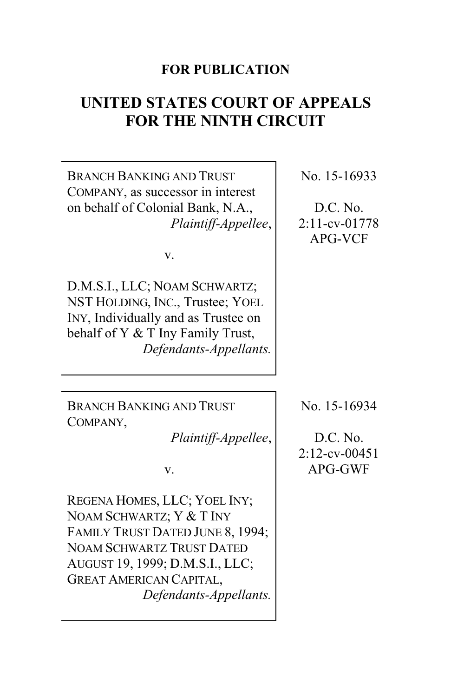# **FOR PUBLICATION**

# **UNITED STATES COURT OF APPEALS FOR THE NINTH CIRCUIT**

BRANCH BANKING AND TRUST COMPANY, as successor in interest on behalf of Colonial Bank, N.A., *Plaintiff-Appellee*,

v.

D.M.S.I., LLC; NOAM SCHWARTZ; NST HOLDING, INC., Trustee; YOEL INY, Individually and as Trustee on behalf of Y & T Iny Family Trust, *Defendants-Appellants.*

BRANCH BANKING AND TRUST COMPANY,

*Plaintiff-Appellee*,

v.

REGENA HOMES, LLC; YOEL INY; NOAM SCHWARTZ; Y & T INY FAMILY TRUST DATED JUNE 8, 1994; NOAM SCHWARTZ TRUST DATED AUGUST 19, 1999; D.M.S.I., LLC; GREAT AMERICAN CAPITAL, *Defendants-Appellants.* No. 15-16933

D.C. No. 2:11-cv-01778 APG-VCF

No. 15-16934

D.C. No. 2:12-cv-00451 APG-GWF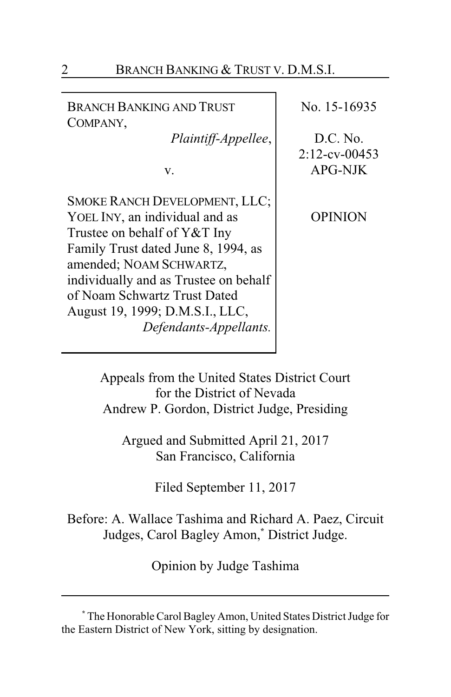| BRANCH BANKING AND TRUST<br>COMPANY,                                                                                                                                                                                                                                                                           | No. 15-16935                                   |
|----------------------------------------------------------------------------------------------------------------------------------------------------------------------------------------------------------------------------------------------------------------------------------------------------------------|------------------------------------------------|
| Plaintiff-Appellee,<br>v.                                                                                                                                                                                                                                                                                      | D.C. No.<br>$2:12$ -cv-00453<br><b>APG-NJK</b> |
| <b>SMOKE RANCH DEVELOPMENT, LLC;</b><br>YOEL INY, an individual and as<br>Trustee on behalf of Y&T Iny<br>Family Trust dated June 8, 1994, as<br>amended; NOAM SCHWARTZ,<br>individually and as Trustee on behalf<br>of Noam Schwartz Trust Dated<br>August 19, 1999; D.M.S.I., LLC,<br>Defendants-Appellants. | OPINION                                        |

Appeals from the United States District Court for the District of Nevada Andrew P. Gordon, District Judge, Presiding

Argued and Submitted April 21, 2017 San Francisco, California

Filed September 11, 2017

Before: A. Wallace Tashima and Richard A. Paez, Circuit Judges, Carol Bagley Amon,**\*** District Judge.

Opinion by Judge Tashima

**<sup>\*</sup>** The Honorable Carol Bagley Amon, United States District Judge for the Eastern District of New York, sitting by designation.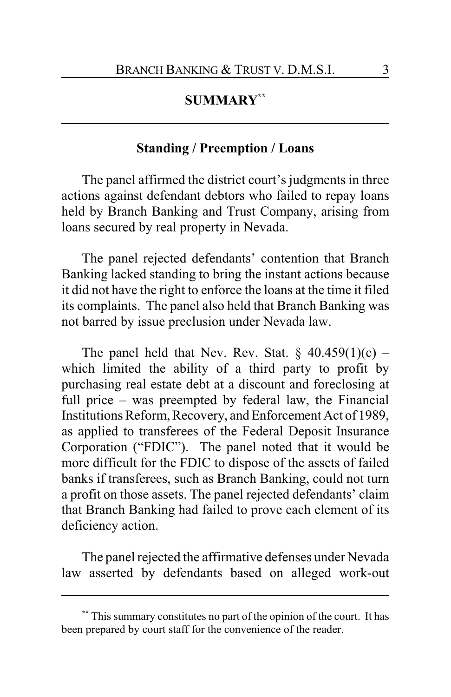## **SUMMARY\*\***

## **Standing / Preemption / Loans**

The panel affirmed the district court's judgments in three actions against defendant debtors who failed to repay loans held by Branch Banking and Trust Company, arising from loans secured by real property in Nevada.

The panel rejected defendants' contention that Branch Banking lacked standing to bring the instant actions because it did not have the right to enforce the loans at the time it filed its complaints. The panel also held that Branch Banking was not barred by issue preclusion under Nevada law.

The panel held that Nev. Rev. Stat.  $\S$  40.459(1)(c) – which limited the ability of a third party to profit by purchasing real estate debt at a discount and foreclosing at full price – was preempted by federal law, the Financial Institutions Reform, Recovery, and Enforcement Act of 1989, as applied to transferees of the Federal Deposit Insurance Corporation ("FDIC"). The panel noted that it would be more difficult for the FDIC to dispose of the assets of failed banks if transferees, such as Branch Banking, could not turn a profit on those assets. The panel rejected defendants' claim that Branch Banking had failed to prove each element of its deficiency action.

The panel rejected the affirmative defenses under Nevada law asserted by defendants based on alleged work-out

**<sup>\*\*</sup>** This summary constitutes no part of the opinion of the court. It has been prepared by court staff for the convenience of the reader.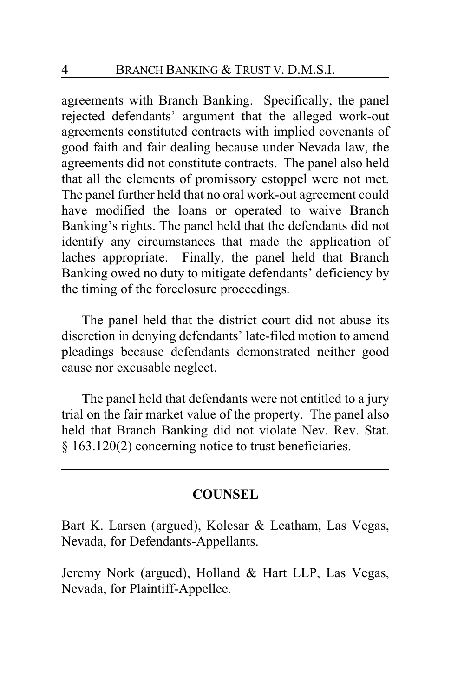agreements with Branch Banking. Specifically, the panel rejected defendants' argument that the alleged work-out agreements constituted contracts with implied covenants of good faith and fair dealing because under Nevada law, the agreements did not constitute contracts. The panel also held that all the elements of promissory estoppel were not met. The panel further held that no oral work-out agreement could have modified the loans or operated to waive Branch Banking's rights. The panel held that the defendants did not identify any circumstances that made the application of laches appropriate. Finally, the panel held that Branch Banking owed no duty to mitigate defendants' deficiency by the timing of the foreclosure proceedings.

The panel held that the district court did not abuse its discretion in denying defendants' late-filed motion to amend pleadings because defendants demonstrated neither good cause nor excusable neglect.

The panel held that defendants were not entitled to a jury trial on the fair market value of the property. The panel also held that Branch Banking did not violate Nev. Rev. Stat. § 163.120(2) concerning notice to trust beneficiaries.

# **COUNSEL**

Bart K. Larsen (argued), Kolesar & Leatham, Las Vegas, Nevada, for Defendants-Appellants.

Jeremy Nork (argued), Holland & Hart LLP, Las Vegas, Nevada, for Plaintiff-Appellee.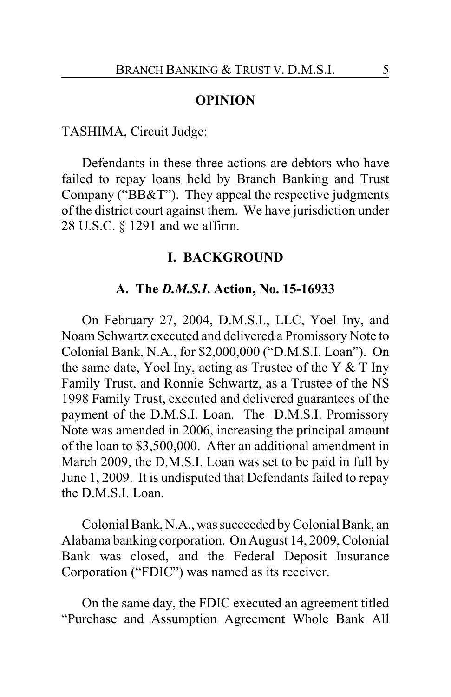#### **OPINION**

#### TASHIMA, Circuit Judge:

Defendants in these three actions are debtors who have failed to repay loans held by Branch Banking and Trust Company ("BB&T"). They appeal the respective judgments of the district court against them. We have jurisdiction under 28 U.S.C. § 1291 and we affirm.

#### **I. BACKGROUND**

#### **A. The** *D.M.S.I***. Action, No. 15-16933**

On February 27, 2004, D.M.S.I., LLC, Yoel Iny, and Noam Schwartz executed and delivered a Promissory Note to Colonial Bank, N.A., for \$2,000,000 ("D.M.S.I. Loan"). On the same date, Yoel Iny, acting as Trustee of the Y  $&$  T Iny Family Trust, and Ronnie Schwartz, as a Trustee of the NS 1998 Family Trust, executed and delivered guarantees of the payment of the D.M.S.I. Loan. The D.M.S.I. Promissory Note was amended in 2006, increasing the principal amount of the loan to \$3,500,000. After an additional amendment in March 2009, the D.M.S.I. Loan was set to be paid in full by June 1, 2009. It is undisputed that Defendants failed to repay the D.M.S.I. Loan.

Colonial Bank, N.A., was succeeded byColonial Bank, an Alabama banking corporation. On August 14, 2009, Colonial Bank was closed, and the Federal Deposit Insurance Corporation ("FDIC") was named as its receiver.

On the same day, the FDIC executed an agreement titled "Purchase and Assumption Agreement Whole Bank All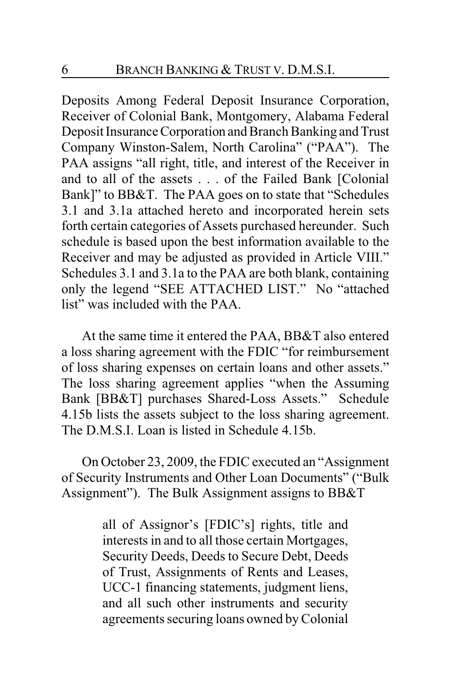Deposits Among Federal Deposit Insurance Corporation, Receiver of Colonial Bank, Montgomery, Alabama Federal Deposit Insurance Corporation and Branch Banking and Trust Company Winston-Salem, North Carolina" ("PAA"). The PAA assigns "all right, title, and interest of the Receiver in and to all of the assets . . . of the Failed Bank [Colonial Bank]" to BB&T. The PAA goes on to state that "Schedules 3.1 and 3.1a attached hereto and incorporated herein sets forth certain categories of Assets purchased hereunder. Such schedule is based upon the best information available to the Receiver and may be adjusted as provided in Article VIII." Schedules 3.1 and 3.1a to the PAA are both blank, containing only the legend "SEE ATTACHED LIST." No "attached list" was included with the PAA.

At the same time it entered the PAA, BB&T also entered a loss sharing agreement with the FDIC "for reimbursement of loss sharing expenses on certain loans and other assets." The loss sharing agreement applies "when the Assuming Bank [BB&T] purchases Shared-Loss Assets." Schedule 4.15b lists the assets subject to the loss sharing agreement. The D.M.S.I. Loan is listed in Schedule 4.15b.

On October 23, 2009, the FDIC executed an "Assignment of Security Instruments and Other Loan Documents" ("Bulk Assignment"). The Bulk Assignment assigns to BB&T

> all of Assignor's [FDIC's] rights, title and interests in and to all those certain Mortgages, Security Deeds, Deeds to Secure Debt, Deeds of Trust, Assignments of Rents and Leases, UCC-1 financing statements, judgment liens, and all such other instruments and security agreements securing loans owned by Colonial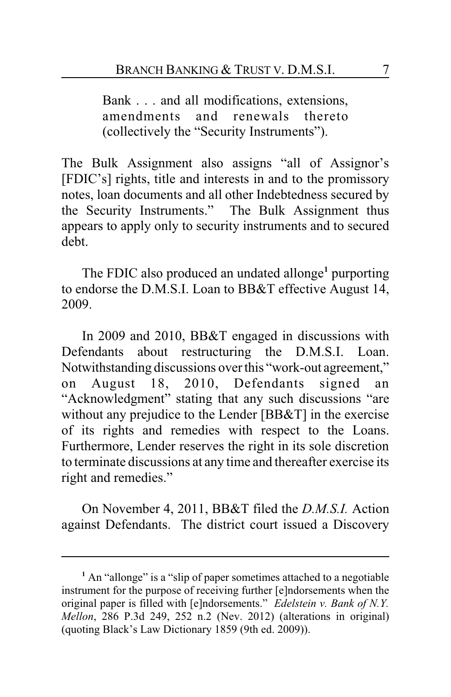Bank . . . and all modifications, extensions, amendments and renewals thereto (collectively the "Security Instruments").

The Bulk Assignment also assigns "all of Assignor's [FDIC's] rights, title and interests in and to the promissory notes, loan documents and all other Indebtedness secured by the Security Instruments." The Bulk Assignment thus appears to apply only to security instruments and to secured debt.

The FDIC also produced an undated allonge**<sup>1</sup>** purporting to endorse the D.M.S.I. Loan to BB&T effective August 14, 2009.

In 2009 and 2010, BB&T engaged in discussions with Defendants about restructuring the D.M.S.I. Loan. Notwithstanding discussions over this "work-out agreement," on August 18, 2010, Defendants signed an "Acknowledgment" stating that any such discussions "are without any prejudice to the Lender [BB&T] in the exercise of its rights and remedies with respect to the Loans. Furthermore, Lender reserves the right in its sole discretion to terminate discussions at any time and thereafter exercise its right and remedies."

On November 4, 2011, BB&T filed the *D.M.S.I.* Action against Defendants. The district court issued a Discovery

**<sup>1</sup>** An "allonge" is a "slip of paper sometimes attached to a negotiable instrument for the purpose of receiving further [e]ndorsements when the original paper is filled with [e]ndorsements." *Edelstein v. Bank of N.Y. Mellon*, 286 P.3d 249, 252 n.2 (Nev. 2012) (alterations in original) (quoting Black's Law Dictionary 1859 (9th ed. 2009)).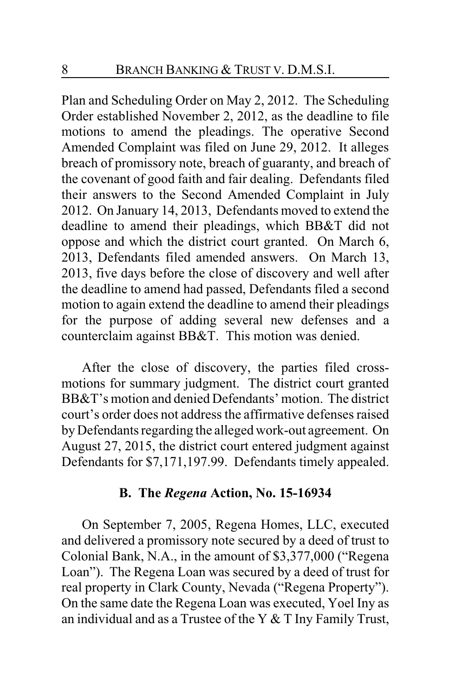Plan and Scheduling Order on May 2, 2012. The Scheduling Order established November 2, 2012, as the deadline to file motions to amend the pleadings. The operative Second Amended Complaint was filed on June 29, 2012. It alleges breach of promissory note, breach of guaranty, and breach of the covenant of good faith and fair dealing. Defendants filed their answers to the Second Amended Complaint in July 2012. On January 14, 2013, Defendants moved to extend the deadline to amend their pleadings, which BB&T did not oppose and which the district court granted. On March 6, 2013, Defendants filed amended answers. On March 13, 2013, five days before the close of discovery and well after the deadline to amend had passed, Defendants filed a second motion to again extend the deadline to amend their pleadings for the purpose of adding several new defenses and a counterclaim against BB&T. This motion was denied.

After the close of discovery, the parties filed crossmotions for summary judgment. The district court granted BB&T's motion and denied Defendants' motion. The district court's order does not address the affirmative defenses raised by Defendants regarding the alleged work-out agreement. On August 27, 2015, the district court entered judgment against Defendants for \$7,171,197.99. Defendants timely appealed.

#### **B. The** *Regena* **Action, No. 15-16934**

On September 7, 2005, Regena Homes, LLC, executed and delivered a promissory note secured by a deed of trust to Colonial Bank, N.A., in the amount of \$3,377,000 ("Regena Loan"). The Regena Loan was secured by a deed of trust for real property in Clark County, Nevada ("Regena Property"). On the same date the Regena Loan was executed, Yoel Iny as an individual and as a Trustee of the Y  $&$  T Iny Family Trust,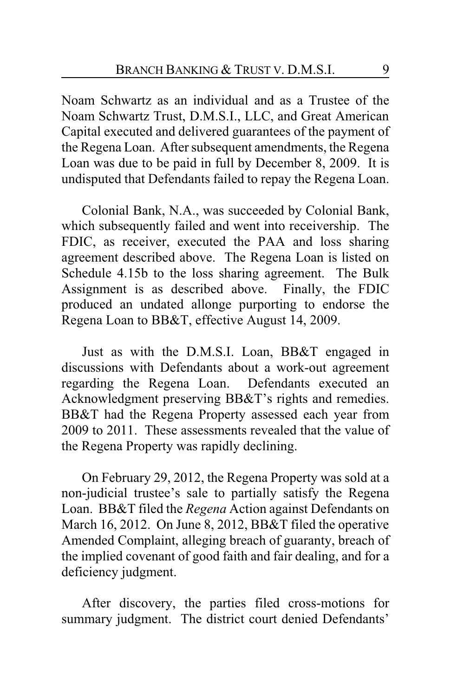Noam Schwartz as an individual and as a Trustee of the Noam Schwartz Trust, D.M.S.I., LLC, and Great American Capital executed and delivered guarantees of the payment of the Regena Loan. After subsequent amendments, the Regena Loan was due to be paid in full by December 8, 2009. It is undisputed that Defendants failed to repay the Regena Loan.

Colonial Bank, N.A., was succeeded by Colonial Bank, which subsequently failed and went into receivership. The FDIC, as receiver, executed the PAA and loss sharing agreement described above. The Regena Loan is listed on Schedule 4.15b to the loss sharing agreement. The Bulk Assignment is as described above. Finally, the FDIC produced an undated allonge purporting to endorse the Regena Loan to BB&T, effective August 14, 2009.

Just as with the D.M.S.I. Loan, BB&T engaged in discussions with Defendants about a work-out agreement regarding the Regena Loan. Defendants executed an Acknowledgment preserving BB&T's rights and remedies. BB&T had the Regena Property assessed each year from 2009 to 2011. These assessments revealed that the value of the Regena Property was rapidly declining.

On February 29, 2012, the Regena Property was sold at a non-judicial trustee's sale to partially satisfy the Regena Loan. BB&T filed the *Regena* Action against Defendants on March 16, 2012. On June 8, 2012, BB&T filed the operative Amended Complaint, alleging breach of guaranty, breach of the implied covenant of good faith and fair dealing, and for a deficiency judgment.

After discovery, the parties filed cross-motions for summary judgment. The district court denied Defendants'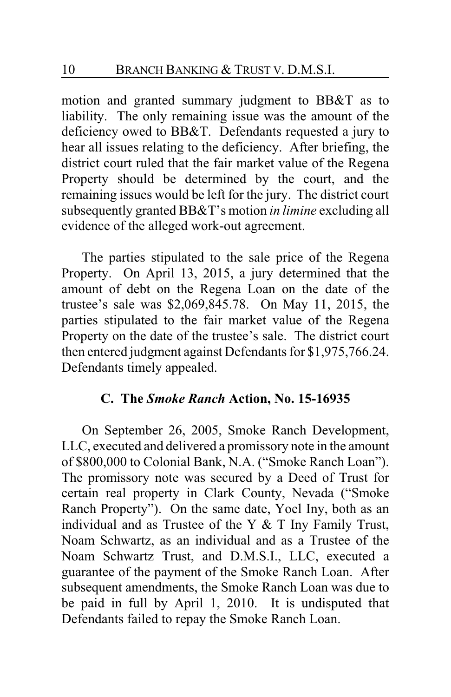motion and granted summary judgment to BB&T as to liability. The only remaining issue was the amount of the deficiency owed to BB&T. Defendants requested a jury to hear all issues relating to the deficiency. After briefing, the district court ruled that the fair market value of the Regena Property should be determined by the court, and the remaining issues would be left for the jury. The district court subsequently granted BB&T's motion *in limine* excluding all evidence of the alleged work-out agreement.

The parties stipulated to the sale price of the Regena Property. On April 13, 2015, a jury determined that the amount of debt on the Regena Loan on the date of the trustee's sale was \$2,069,845.78. On May 11, 2015, the parties stipulated to the fair market value of the Regena Property on the date of the trustee's sale. The district court then entered judgment against Defendants for \$1,975,766.24. Defendants timely appealed.

## **C. The** *Smoke Ranch* **Action, No. 15-16935**

On September 26, 2005, Smoke Ranch Development, LLC, executed and delivered a promissory note in the amount of \$800,000 to Colonial Bank, N.A. ("Smoke Ranch Loan"). The promissory note was secured by a Deed of Trust for certain real property in Clark County, Nevada ("Smoke Ranch Property"). On the same date, Yoel Iny, both as an individual and as Trustee of the Y  $&$  T Iny Family Trust, Noam Schwartz, as an individual and as a Trustee of the Noam Schwartz Trust, and D.M.S.I., LLC, executed a guarantee of the payment of the Smoke Ranch Loan. After subsequent amendments, the Smoke Ranch Loan was due to be paid in full by April 1, 2010. It is undisputed that Defendants failed to repay the Smoke Ranch Loan.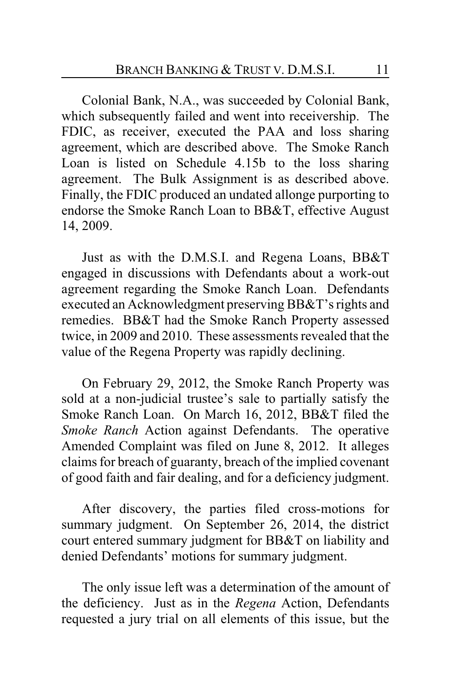Colonial Bank, N.A., was succeeded by Colonial Bank, which subsequently failed and went into receivership. The FDIC, as receiver, executed the PAA and loss sharing agreement, which are described above. The Smoke Ranch Loan is listed on Schedule 4.15b to the loss sharing agreement. The Bulk Assignment is as described above. Finally, the FDIC produced an undated allonge purporting to endorse the Smoke Ranch Loan to BB&T, effective August 14, 2009.

Just as with the D.M.S.I. and Regena Loans, BB&T engaged in discussions with Defendants about a work-out agreement regarding the Smoke Ranch Loan. Defendants executed an Acknowledgment preserving BB&T's rights and remedies. BB&T had the Smoke Ranch Property assessed twice, in 2009 and 2010. These assessments revealed that the value of the Regena Property was rapidly declining.

On February 29, 2012, the Smoke Ranch Property was sold at a non-judicial trustee's sale to partially satisfy the Smoke Ranch Loan. On March 16, 2012, BB&T filed the *Smoke Ranch* Action against Defendants. The operative Amended Complaint was filed on June 8, 2012. It alleges claims for breach of guaranty, breach of the implied covenant of good faith and fair dealing, and for a deficiency judgment.

After discovery, the parties filed cross-motions for summary judgment. On September 26, 2014, the district court entered summary judgment for BB&T on liability and denied Defendants' motions for summary judgment.

The only issue left was a determination of the amount of the deficiency. Just as in the *Regena* Action, Defendants requested a jury trial on all elements of this issue, but the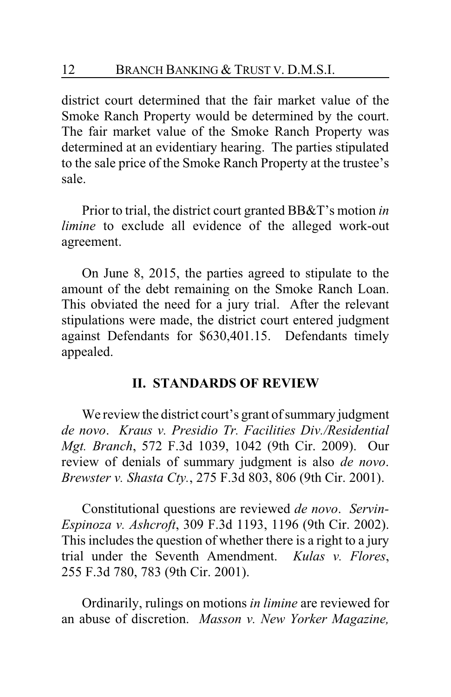district court determined that the fair market value of the Smoke Ranch Property would be determined by the court. The fair market value of the Smoke Ranch Property was determined at an evidentiary hearing. The parties stipulated to the sale price of the Smoke Ranch Property at the trustee's sale.

Prior to trial, the district court granted BB&T's motion *in limine* to exclude all evidence of the alleged work-out agreement.

On June 8, 2015, the parties agreed to stipulate to the amount of the debt remaining on the Smoke Ranch Loan. This obviated the need for a jury trial. After the relevant stipulations were made, the district court entered judgment against Defendants for \$630,401.15. Defendants timely appealed.

#### **II. STANDARDS OF REVIEW**

We review the district court's grant of summary judgment *de novo*. *Kraus v. Presidio Tr. Facilities Div./Residential Mgt. Branch*, 572 F.3d 1039, 1042 (9th Cir. 2009). Our review of denials of summary judgment is also *de novo*. *Brewster v. Shasta Cty.*, 275 F.3d 803, 806 (9th Cir. 2001).

Constitutional questions are reviewed *de novo*. *Servin-Espinoza v. Ashcroft*, 309 F.3d 1193, 1196 (9th Cir. 2002). This includes the question of whether there is a right to a jury trial under the Seventh Amendment. *Kulas v. Flores*, 255 F.3d 780, 783 (9th Cir. 2001).

Ordinarily, rulings on motions *in limine* are reviewed for an abuse of discretion. *Masson v. New Yorker Magazine,*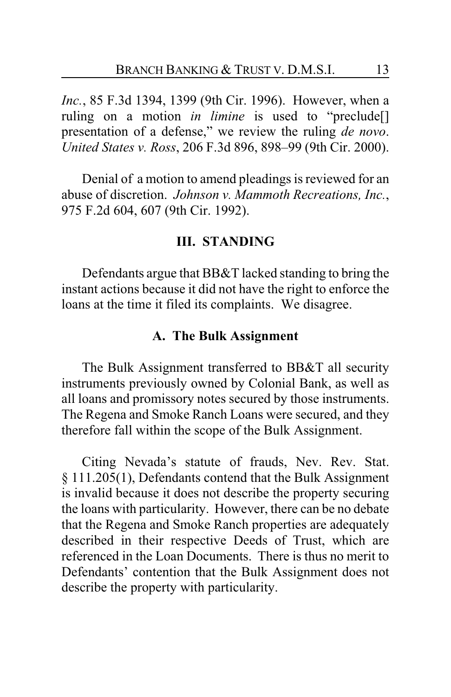*Inc.*, 85 F.3d 1394, 1399 (9th Cir. 1996). However, when a ruling on a motion *in limine* is used to "preclude[] presentation of a defense," we review the ruling *de novo*. *United States v. Ross*, 206 F.3d 896, 898–99 (9th Cir. 2000).

Denial of a motion to amend pleadings is reviewed for an abuse of discretion. *Johnson v. Mammoth Recreations, Inc.*, 975 F.2d 604, 607 (9th Cir. 1992).

#### **III. STANDING**

Defendants argue that BB&T lacked standing to bring the instant actions because it did not have the right to enforce the loans at the time it filed its complaints. We disagree.

#### **A. The Bulk Assignment**

The Bulk Assignment transferred to BB&T all security instruments previously owned by Colonial Bank, as well as all loans and promissory notes secured by those instruments. The Regena and Smoke Ranch Loans were secured, and they therefore fall within the scope of the Bulk Assignment.

Citing Nevada's statute of frauds, Nev. Rev. Stat. § 111.205(1), Defendants contend that the Bulk Assignment is invalid because it does not describe the property securing the loans with particularity. However, there can be no debate that the Regena and Smoke Ranch properties are adequately described in their respective Deeds of Trust, which are referenced in the Loan Documents. There is thus no merit to Defendants' contention that the Bulk Assignment does not describe the property with particularity.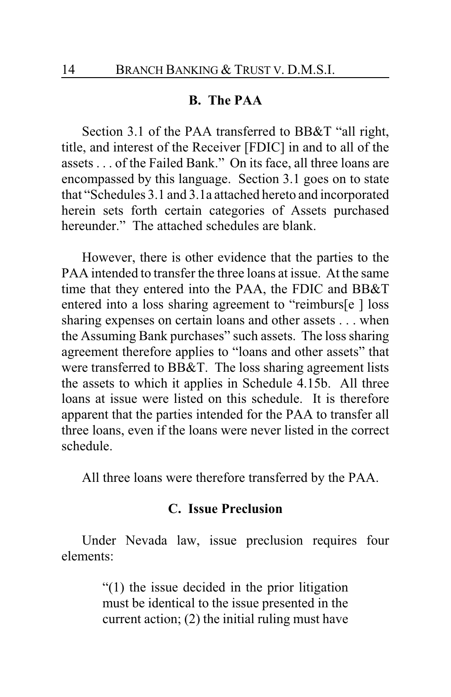#### **B. The PAA**

Section 3.1 of the PAA transferred to BB&T "all right, title, and interest of the Receiver [FDIC] in and to all of the assets . . . of the Failed Bank." On its face, all three loans are encompassed by this language. Section 3.1 goes on to state that "Schedules 3.1 and 3.1a attached hereto and incorporated herein sets forth certain categories of Assets purchased hereunder." The attached schedules are blank.

However, there is other evidence that the parties to the PAA intended to transfer the three loans at issue. At the same time that they entered into the PAA, the FDIC and BB&T entered into a loss sharing agreement to "reimburs[e ] loss sharing expenses on certain loans and other assets . . . when the Assuming Bank purchases" such assets. The loss sharing agreement therefore applies to "loans and other assets" that were transferred to BB&T. The loss sharing agreement lists the assets to which it applies in Schedule 4.15b. All three loans at issue were listed on this schedule. It is therefore apparent that the parties intended for the PAA to transfer all three loans, even if the loans were never listed in the correct schedule.

All three loans were therefore transferred by the PAA.

#### **C. Issue Preclusion**

Under Nevada law, issue preclusion requires four elements:

> "(1) the issue decided in the prior litigation must be identical to the issue presented in the current action; (2) the initial ruling must have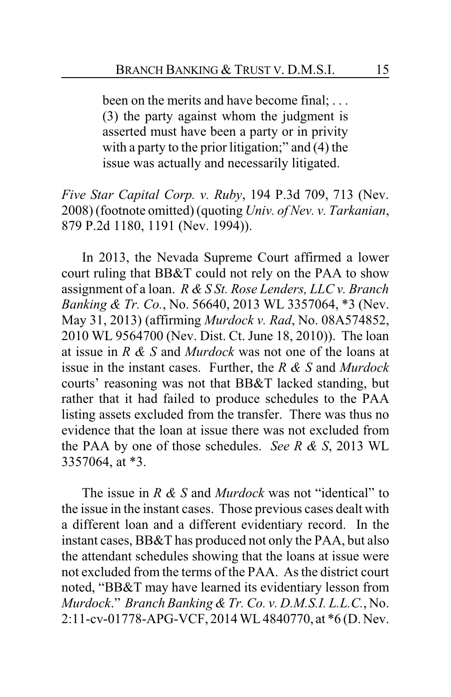been on the merits and have become final; ... (3) the party against whom the judgment is asserted must have been a party or in privity with a party to the prior litigation;" and (4) the issue was actually and necessarily litigated.

*Five Star Capital Corp. v. Ruby*, 194 P.3d 709, 713 (Nev. 2008) (footnote omitted) (quoting *Univ. of Nev. v. Tarkanian*, 879 P.2d 1180, 1191 (Nev. 1994)).

In 2013, the Nevada Supreme Court affirmed a lower court ruling that BB&T could not rely on the PAA to show assignment of a loan. *R & S St. Rose Lenders, LLC v. Branch Banking & Tr. Co.*, No. 56640, 2013 WL 3357064, \*3 (Nev. May 31, 2013) (affirming *Murdock v. Rad*, No. 08A574852, 2010 WL 9564700 (Nev. Dist. Ct. June 18, 2010)). The loan at issue in *R & S* and *Murdock* was not one of the loans at issue in the instant cases. Further, the *R & S* and *Murdock* courts' reasoning was not that BB&T lacked standing, but rather that it had failed to produce schedules to the PAA listing assets excluded from the transfer. There was thus no evidence that the loan at issue there was not excluded from the PAA by one of those schedules. *See R & S*, 2013 WL 3357064, at \*3.

The issue in *R & S* and *Murdock* was not "identical" to the issue in the instant cases. Those previous cases dealt with a different loan and a different evidentiary record. In the instant cases, BB&T has produced not only the PAA, but also the attendant schedules showing that the loans at issue were not excluded from the terms of the PAA. As the district court noted, "BB&T may have learned its evidentiary lesson from *Murdock*." *Branch Banking & Tr. Co. v. D.M.S.I. L.L.C.*, No. 2:11-cv-01778-APG-VCF, 2014 WL 4840770, at \*6 (D. Nev.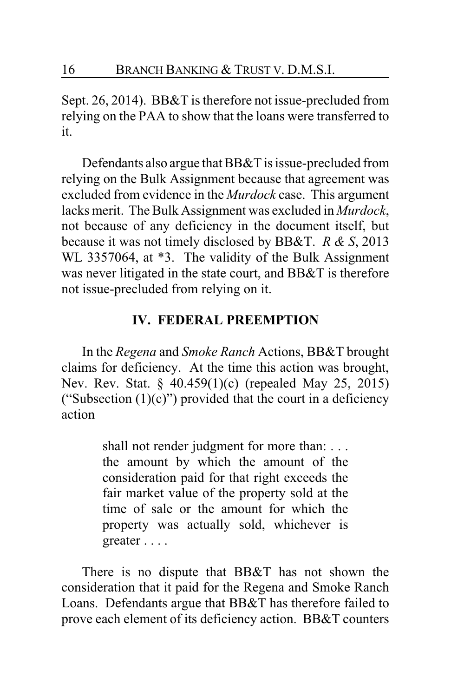Sept. 26, 2014). BB&T is therefore not issue-precluded from relying on the PAA to show that the loans were transferred to it.

Defendants also argue that BB&T is issue-precluded from relying on the Bulk Assignment because that agreement was excluded from evidence in the *Murdock* case. This argument lacks merit. The Bulk Assignment was excluded in *Murdock*, not because of any deficiency in the document itself, but because it was not timely disclosed by BB&T. *R & S*, 2013 WL 3357064, at \*3. The validity of the Bulk Assignment was never litigated in the state court, and BB&T is therefore not issue-precluded from relying on it.

#### **IV. FEDERAL PREEMPTION**

In the *Regena* and *Smoke Ranch* Actions, BB&T brought claims for deficiency. At the time this action was brought, Nev. Rev. Stat. § 40.459(1)(c) (repealed May 25, 2015) ("Subsection  $(1)(c)$ ") provided that the court in a deficiency action

> shall not render judgment for more than: . . . the amount by which the amount of the consideration paid for that right exceeds the fair market value of the property sold at the time of sale or the amount for which the property was actually sold, whichever is greater . . . .

There is no dispute that BB&T has not shown the consideration that it paid for the Regena and Smoke Ranch Loans. Defendants argue that BB&T has therefore failed to prove each element of its deficiency action. BB&T counters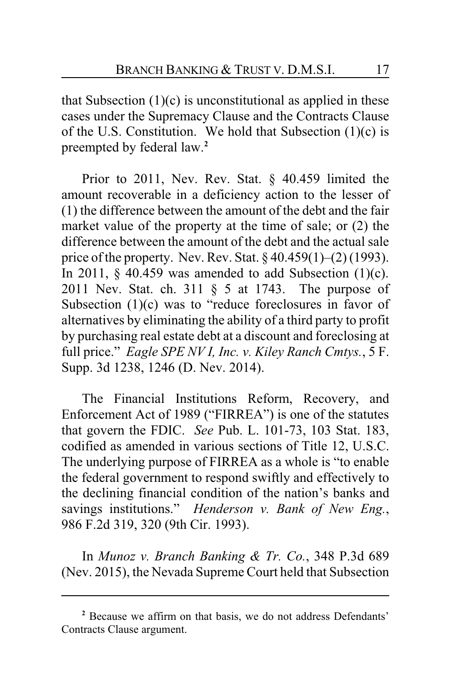that Subsection  $(1)(c)$  is unconstitutional as applied in these cases under the Supremacy Clause and the Contracts Clause of the U.S. Constitution. We hold that Subsection  $(1)(c)$  is preempted by federal law.**<sup>2</sup>**

Prior to 2011, Nev. Rev. Stat. § 40.459 limited the amount recoverable in a deficiency action to the lesser of (1) the difference between the amount of the debt and the fair market value of the property at the time of sale; or (2) the difference between the amount of the debt and the actual sale price of the property. Nev. Rev. Stat.  $\S 40.459(1)$ – $(2)$  (1993). In 2011,  $\S$  40.459 was amended to add Subsection (1)(c). 2011 Nev. Stat. ch. 311 § 5 at 1743. The purpose of Subsection  $(1)(c)$  was to "reduce foreclosures in favor of alternatives by eliminating the ability of a third party to profit by purchasing real estate debt at a discount and foreclosing at full price." *Eagle SPE NV I, Inc. v. Kiley Ranch Cmtys.*, 5 F. Supp. 3d 1238, 1246 (D. Nev. 2014).

The Financial Institutions Reform, Recovery, and Enforcement Act of 1989 ("FIRREA") is one of the statutes that govern the FDIC. *See* Pub. L. 101-73, 103 Stat. 183, codified as amended in various sections of Title 12, U.S.C. The underlying purpose of FIRREA as a whole is "to enable the federal government to respond swiftly and effectively to the declining financial condition of the nation's banks and savings institutions." *Henderson v. Bank of New Eng.*, 986 F.2d 319, 320 (9th Cir. 1993).

In *Munoz v. Branch Banking & Tr. Co.*, 348 P.3d 689 (Nev. 2015), the Nevada Supreme Court held that Subsection

**<sup>2</sup>** Because we affirm on that basis, we do not address Defendants' Contracts Clause argument.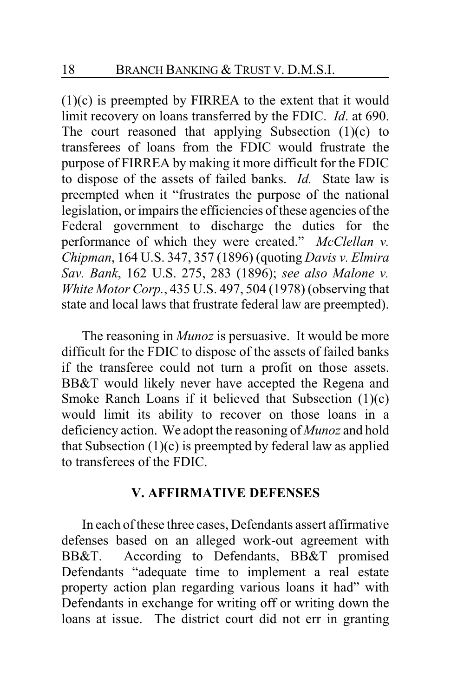(1)(c) is preempted by FIRREA to the extent that it would limit recovery on loans transferred by the FDIC. *Id*. at 690. The court reasoned that applying Subsection  $(1)(c)$  to transferees of loans from the FDIC would frustrate the purpose of FIRREA by making it more difficult for the FDIC to dispose of the assets of failed banks. *Id.* State law is preempted when it "frustrates the purpose of the national legislation, or impairs the efficiencies of these agencies of the Federal government to discharge the duties for the performance of which they were created." *McClellan v. Chipman*, 164 U.S. 347, 357 (1896) (quoting *Davis v. Elmira Sav. Bank*, 162 U.S. 275, 283 (1896); *see also Malone v. White Motor Corp.*, 435 U.S. 497, 504 (1978) (observing that state and local laws that frustrate federal law are preempted).

The reasoning in *Munoz* is persuasive. It would be more difficult for the FDIC to dispose of the assets of failed banks if the transferee could not turn a profit on those assets. BB&T would likely never have accepted the Regena and Smoke Ranch Loans if it believed that Subsection (1)(c) would limit its ability to recover on those loans in a deficiency action. We adopt the reasoning of *Munoz* and hold that Subsection  $(1)(c)$  is preempted by federal law as applied to transferees of the FDIC.

## **V. AFFIRMATIVE DEFENSES**

In each of these three cases, Defendants assert affirmative defenses based on an alleged work-out agreement with BB&T. According to Defendants, BB&T promised Defendants "adequate time to implement a real estate property action plan regarding various loans it had" with Defendants in exchange for writing off or writing down the loans at issue. The district court did not err in granting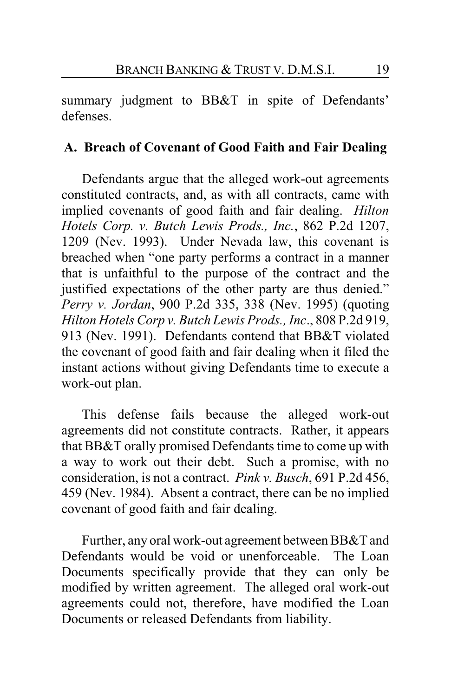summary judgment to BB&T in spite of Defendants' defenses.

## **A. Breach of Covenant of Good Faith and Fair Dealing**

Defendants argue that the alleged work-out agreements constituted contracts, and, as with all contracts, came with implied covenants of good faith and fair dealing. *Hilton Hotels Corp. v. Butch Lewis Prods., Inc.*, 862 P.2d 1207, 1209 (Nev. 1993). Under Nevada law, this covenant is breached when "one party performs a contract in a manner that is unfaithful to the purpose of the contract and the justified expectations of the other party are thus denied." *Perry v. Jordan*, 900 P.2d 335, 338 (Nev. 1995) (quoting *Hilton Hotels Corp v. Butch Lewis Prods., Inc*., 808 P.2d 919, 913 (Nev. 1991). Defendants contend that BB&T violated the covenant of good faith and fair dealing when it filed the instant actions without giving Defendants time to execute a work-out plan.

This defense fails because the alleged work-out agreements did not constitute contracts. Rather, it appears that BB&T orally promised Defendants time to come up with a way to work out their debt. Such a promise, with no consideration, is not a contract. *Pink v. Busch*, 691 P.2d 456, 459 (Nev. 1984). Absent a contract, there can be no implied covenant of good faith and fair dealing.

Further, any oral work-out agreement between BB&T and Defendants would be void or unenforceable. The Loan Documents specifically provide that they can only be modified by written agreement. The alleged oral work-out agreements could not, therefore, have modified the Loan Documents or released Defendants from liability.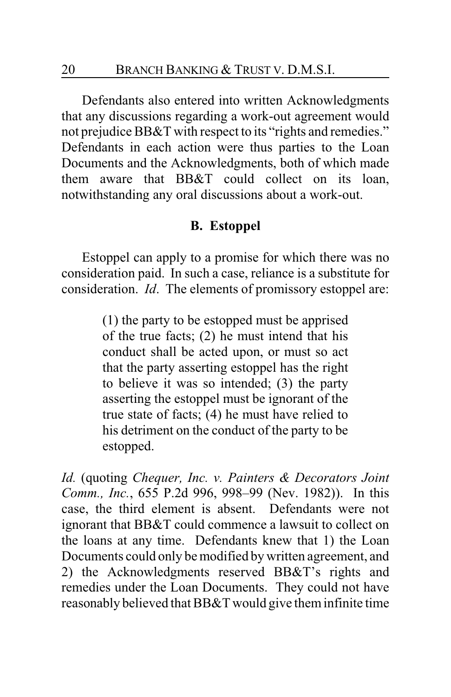Defendants also entered into written Acknowledgments that any discussions regarding a work-out agreement would not prejudice BB&T with respect to its "rights and remedies." Defendants in each action were thus parties to the Loan Documents and the Acknowledgments, both of which made them aware that BB&T could collect on its loan, notwithstanding any oral discussions about a work-out.

## **B. Estoppel**

Estoppel can apply to a promise for which there was no consideration paid. In such a case, reliance is a substitute for consideration. *Id*. The elements of promissory estoppel are:

> (1) the party to be estopped must be apprised of the true facts; (2) he must intend that his conduct shall be acted upon, or must so act that the party asserting estoppel has the right to believe it was so intended; (3) the party asserting the estoppel must be ignorant of the true state of facts; (4) he must have relied to his detriment on the conduct of the party to be estopped.

*Id.* (quoting *Chequer, Inc. v. Painters & Decorators Joint Comm., Inc.*, 655 P.2d 996, 998–99 (Nev. 1982)). In this case, the third element is absent. Defendants were not ignorant that BB&T could commence a lawsuit to collect on the loans at any time. Defendants knew that 1) the Loan Documents could only be modified by written agreement, and 2) the Acknowledgments reserved BB&T's rights and remedies under the Loan Documents. They could not have reasonably believed that BB&T would give theminfinite time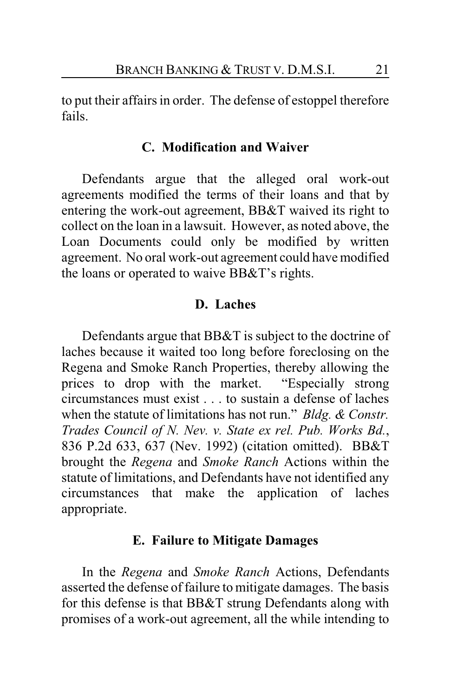to put their affairs in order. The defense of estoppel therefore fails.

#### **C. Modification and Waiver**

Defendants argue that the alleged oral work-out agreements modified the terms of their loans and that by entering the work-out agreement, BB&T waived its right to collect on the loan in a lawsuit. However, as noted above, the Loan Documents could only be modified by written agreement. No oral work-out agreement could have modified the loans or operated to waive BB&T's rights.

#### **D. Laches**

Defendants argue that BB&T is subject to the doctrine of laches because it waited too long before foreclosing on the Regena and Smoke Ranch Properties, thereby allowing the prices to drop with the market. "Especially strong circumstances must exist . . . to sustain a defense of laches when the statute of limitations has not run." *Bldg. & Constr. Trades Council of N. Nev. v. State ex rel. Pub. Works Bd.*, 836 P.2d 633, 637 (Nev. 1992) (citation omitted). BB&T brought the *Regena* and *Smoke Ranch* Actions within the statute of limitations, and Defendants have not identified any circumstances that make the application of laches appropriate.

#### **E. Failure to Mitigate Damages**

In the *Regena* and *Smoke Ranch* Actions, Defendants asserted the defense of failure to mitigate damages. The basis for this defense is that BB&T strung Defendants along with promises of a work-out agreement, all the while intending to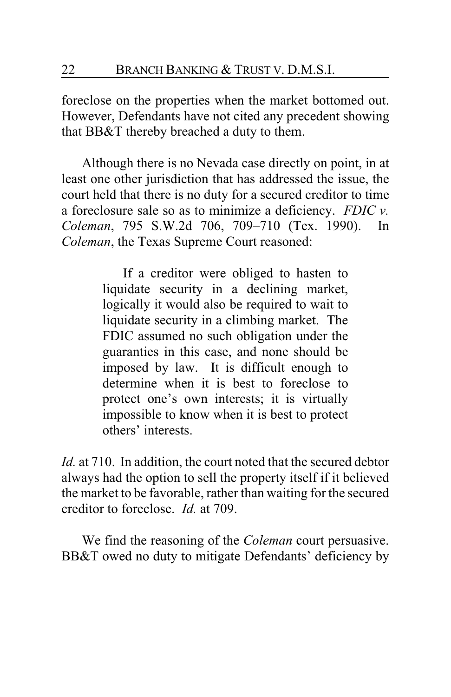foreclose on the properties when the market bottomed out. However, Defendants have not cited any precedent showing that BB&T thereby breached a duty to them.

Although there is no Nevada case directly on point, in at least one other jurisdiction that has addressed the issue, the court held that there is no duty for a secured creditor to time a foreclosure sale so as to minimize a deficiency. *FDIC v. Coleman*, 795 S.W.2d 706, 709–710 (Tex. 1990). In *Coleman*, the Texas Supreme Court reasoned:

> If a creditor were obliged to hasten to liquidate security in a declining market, logically it would also be required to wait to liquidate security in a climbing market. The FDIC assumed no such obligation under the guaranties in this case, and none should be imposed by law. It is difficult enough to determine when it is best to foreclose to protect one's own interests; it is virtually impossible to know when it is best to protect others' interests.

*Id.* at 710. In addition, the court noted that the secured debtor always had the option to sell the property itself if it believed the market to be favorable, rather than waiting for the secured creditor to foreclose. *Id.* at 709.

We find the reasoning of the *Coleman* court persuasive. BB&T owed no duty to mitigate Defendants' deficiency by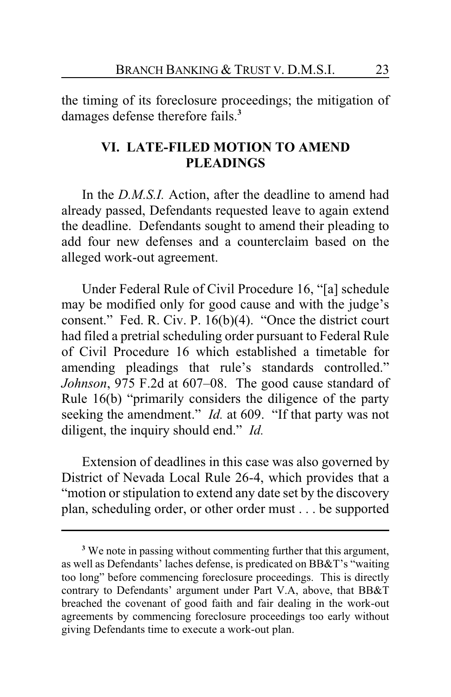the timing of its foreclosure proceedings; the mitigation of damages defense therefore fails.**<sup>3</sup>**

## **VI. LATE-FILED MOTION TO AMEND PLEADINGS**

In the *D.M.S.I.* Action, after the deadline to amend had already passed, Defendants requested leave to again extend the deadline. Defendants sought to amend their pleading to add four new defenses and a counterclaim based on the alleged work-out agreement.

Under Federal Rule of Civil Procedure 16, "[a] schedule may be modified only for good cause and with the judge's consent." Fed. R. Civ. P. 16(b)(4). "Once the district court had filed a pretrial scheduling order pursuant to Federal Rule of Civil Procedure 16 which established a timetable for amending pleadings that rule's standards controlled." *Johnson*, 975 F.2d at 607–08. The good cause standard of Rule 16(b) "primarily considers the diligence of the party seeking the amendment." *Id.* at 609. "If that party was not diligent, the inquiry should end." *Id.*

Extension of deadlines in this case was also governed by District of Nevada Local Rule 26-4, which provides that a "motion or stipulation to extend any date set by the discovery plan, scheduling order, or other order must . . . be supported

**<sup>3</sup>** We note in passing without commenting further that this argument, as well as Defendants' laches defense, is predicated on BB&T's "waiting too long" before commencing foreclosure proceedings. This is directly contrary to Defendants' argument under Part V.A, above, that BB&T breached the covenant of good faith and fair dealing in the work-out agreements by commencing foreclosure proceedings too early without giving Defendants time to execute a work-out plan.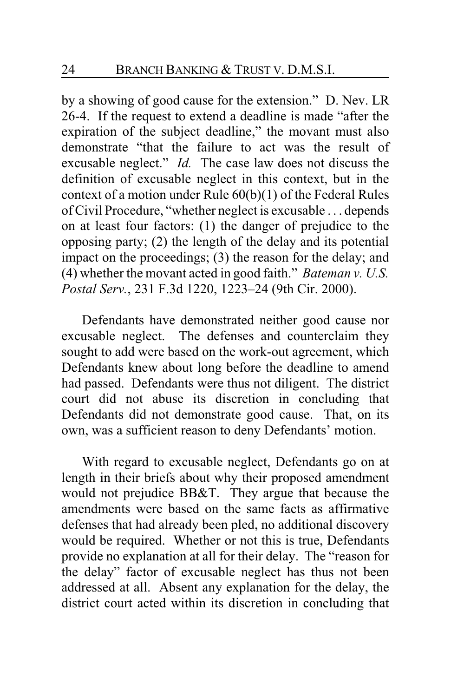by a showing of good cause for the extension." D. Nev. LR 26-4. If the request to extend a deadline is made "after the expiration of the subject deadline," the movant must also demonstrate "that the failure to act was the result of excusable neglect." *Id.* The case law does not discuss the definition of excusable neglect in this context, but in the context of a motion under Rule 60(b)(1) of the Federal Rules of Civil Procedure, "whether neglect is excusable . . . depends on at least four factors: (1) the danger of prejudice to the opposing party; (2) the length of the delay and its potential impact on the proceedings; (3) the reason for the delay; and (4) whether the movant acted in good faith." *Bateman v. U.S. Postal Serv.*, 231 F.3d 1220, 1223–24 (9th Cir. 2000).

Defendants have demonstrated neither good cause nor excusable neglect. The defenses and counterclaim they sought to add were based on the work-out agreement, which Defendants knew about long before the deadline to amend had passed. Defendants were thus not diligent. The district court did not abuse its discretion in concluding that Defendants did not demonstrate good cause. That, on its own, was a sufficient reason to deny Defendants' motion.

With regard to excusable neglect, Defendants go on at length in their briefs about why their proposed amendment would not prejudice BB&T. They argue that because the amendments were based on the same facts as affirmative defenses that had already been pled, no additional discovery would be required. Whether or not this is true, Defendants provide no explanation at all for their delay. The "reason for the delay" factor of excusable neglect has thus not been addressed at all. Absent any explanation for the delay, the district court acted within its discretion in concluding that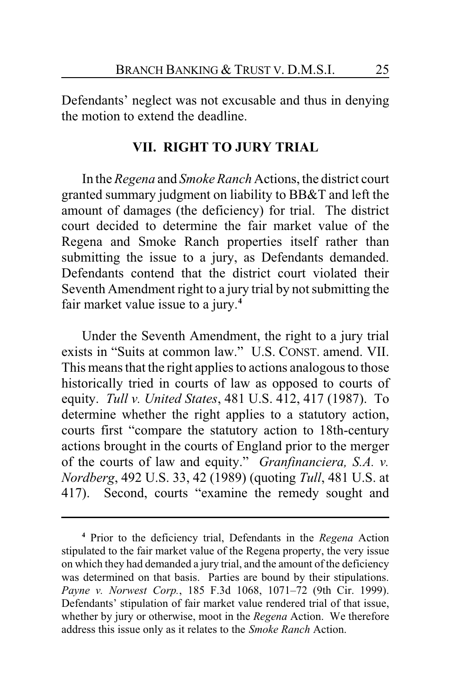Defendants' neglect was not excusable and thus in denying the motion to extend the deadline.

#### **VII. RIGHT TO JURY TRIAL**

In the *Regena* and *Smoke Ranch* Actions, the district court granted summary judgment on liability to BB&T and left the amount of damages (the deficiency) for trial. The district court decided to determine the fair market value of the Regena and Smoke Ranch properties itself rather than submitting the issue to a jury, as Defendants demanded. Defendants contend that the district court violated their Seventh Amendment right to a jury trial by not submitting the fair market value issue to a jury.**<sup>4</sup>**

Under the Seventh Amendment, the right to a jury trial exists in "Suits at common law." U.S. CONST. amend. VII. This means that the right applies to actions analogous to those historically tried in courts of law as opposed to courts of equity. *Tull v. United States*, 481 U.S. 412, 417 (1987). To determine whether the right applies to a statutory action, courts first "compare the statutory action to 18th-century actions brought in the courts of England prior to the merger of the courts of law and equity." *Granfinanciera, S.A. v. Nordberg*, 492 U.S. 33, 42 (1989) (quoting *Tull*, 481 U.S. at 417). Second, courts "examine the remedy sought and

**<sup>4</sup>** Prior to the deficiency trial, Defendants in the *Regena* Action stipulated to the fair market value of the Regena property, the very issue on which they had demanded a jury trial, and the amount of the deficiency was determined on that basis. Parties are bound by their stipulations. *Payne v. Norwest Corp.*, 185 F.3d 1068, 1071–72 (9th Cir. 1999). Defendants' stipulation of fair market value rendered trial of that issue, whether by jury or otherwise, moot in the *Regena* Action. We therefore address this issue only as it relates to the *Smoke Ranch* Action.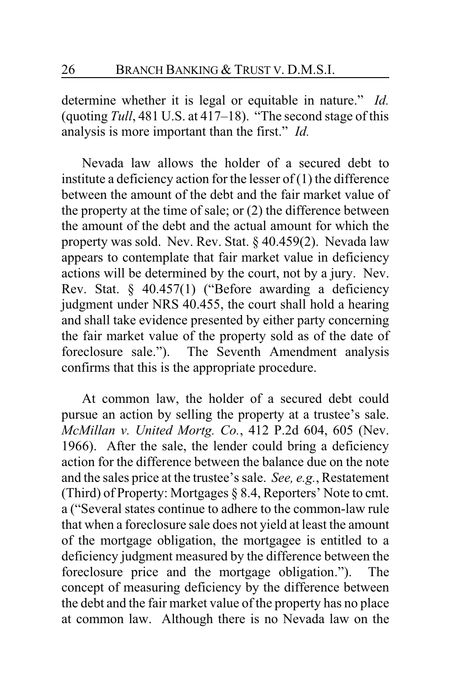determine whether it is legal or equitable in nature." *Id.* (quoting *Tull*, 481 U.S. at 417–18). "The second stage of this analysis is more important than the first." *Id.*

Nevada law allows the holder of a secured debt to institute a deficiency action for the lesser of  $(1)$  the difference between the amount of the debt and the fair market value of the property at the time of sale; or (2) the difference between the amount of the debt and the actual amount for which the property was sold. Nev. Rev. Stat. § 40.459(2). Nevada law appears to contemplate that fair market value in deficiency actions will be determined by the court, not by a jury. Nev. Rev. Stat. § 40.457(1) ("Before awarding a deficiency judgment under NRS 40.455, the court shall hold a hearing and shall take evidence presented by either party concerning the fair market value of the property sold as of the date of foreclosure sale."). The Seventh Amendment analysis confirms that this is the appropriate procedure.

At common law, the holder of a secured debt could pursue an action by selling the property at a trustee's sale. *McMillan v. United Mortg. Co.*, 412 P.2d 604, 605 (Nev. 1966). After the sale, the lender could bring a deficiency action for the difference between the balance due on the note and the sales price at the trustee's sale. *See, e.g.*, Restatement (Third) of Property: Mortgages § 8.4, Reporters' Note to cmt. a ("Several states continue to adhere to the common-law rule that when a foreclosure sale does not yield at least the amount of the mortgage obligation, the mortgagee is entitled to a deficiency judgment measured by the difference between the foreclosure price and the mortgage obligation."). The concept of measuring deficiency by the difference between the debt and the fair market value of the property has no place at common law. Although there is no Nevada law on the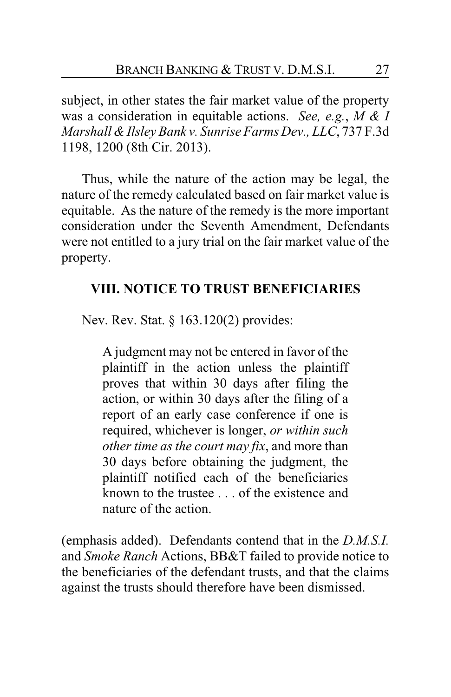subject, in other states the fair market value of the property was a consideration in equitable actions. *See, e.g.*, *M & I Marshall & Ilsley Bank v. Sunrise Farms Dev., LLC*, 737 F.3d 1198, 1200 (8th Cir. 2013).

Thus, while the nature of the action may be legal, the nature of the remedy calculated based on fair market value is equitable. As the nature of the remedy is the more important consideration under the Seventh Amendment, Defendants were not entitled to a jury trial on the fair market value of the property.

# **VIII. NOTICE TO TRUST BENEFICIARIES**

Nev. Rev. Stat. § 163.120(2) provides:

A judgment may not be entered in favor of the plaintiff in the action unless the plaintiff proves that within 30 days after filing the action, or within 30 days after the filing of a report of an early case conference if one is required, whichever is longer, *or within such other time as the court may fix*, and more than 30 days before obtaining the judgment, the plaintiff notified each of the beneficiaries known to the trustee . . . of the existence and nature of the action.

(emphasis added). Defendants contend that in the *D.M.S.I.* and *Smoke Ranch* Actions, BB&T failed to provide notice to the beneficiaries of the defendant trusts, and that the claims against the trusts should therefore have been dismissed.